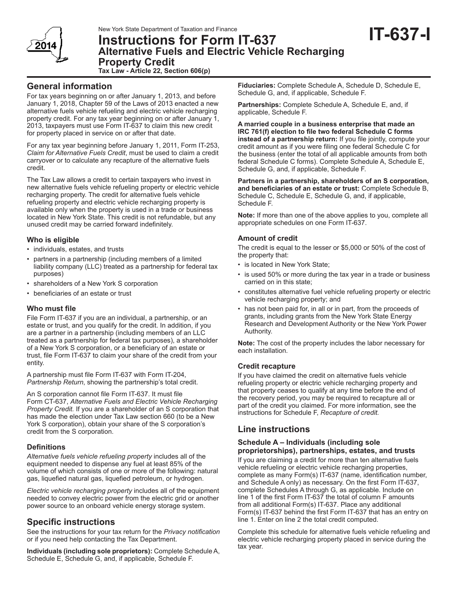# New York State Department of Taxation and Finance<br>**Instructions for Form IT-637 Alternative Fuels and Electric Vehicle Recharging Property Credit Tax Law - Article 22, Section 606(p)**

**General information**

For tax years beginning on or after January 1, 2013, and before January 1, 2018, Chapter 59 of the Laws of 2013 enacted a new alternative fuels vehicle refueling and electric vehicle recharging property credit. For any tax year beginning on or after January 1, 2013, taxpayers must use Form IT-637 to claim this new credit for property placed in service on or after that date.

For any tax year beginning before January 1, 2011, Form IT-253, *Claim for Alternative Fuels Credit*, must be used to claim a credit carryover or to calculate any recapture of the alternative fuels credit.

The Tax Law allows a credit to certain taxpayers who invest in new alternative fuels vehicle refueling property or electric vehicle recharging property. The credit for alternative fuels vehicle refueling property and electric vehicle recharging property is available only when the property is used in a trade or business located in New York State. This credit is not refundable, but any unused credit may be carried forward indefinitely.

# **Who is eligible**

- individuals, estates, and trusts
- partners in a partnership (including members of a limited liability company (LLC) treated as a partnership for federal tax purposes)
- shareholders of a New York S corporation
- beneficiaries of an estate or trust

# **Who must file**

File Form IT-637 if you are an individual, a partnership, or an estate or trust, and you qualify for the credit. In addition, if you are a partner in a partnership (including members of an LLC treated as a partnership for federal tax purposes), a shareholder of a New York S corporation, or a beneficiary of an estate or trust, file Form IT-637 to claim your share of the credit from your entity.

A partnership must file Form IT-637 with Form IT-204, *Partnership Return*, showing the partnership's total credit.

An S corporation cannot file Form IT-637. It must file Form CT-637, *Alternative Fuels and Electric Vehicle Recharging Property Credit.* If you are a shareholder of an S corporation that has made the election under Tax Law section 660 (to be a New York S corporation), obtain your share of the S corporation's credit from the S corporation.

#### **Definitions**

*Alternative fuels vehicle refueling property* includes all of the equipment needed to dispense any fuel at least 85% of the volume of which consists of one or more of the following: natural gas, liquefied natural gas, liquefied petroleum, or hydrogen.

*Electric vehicle recharging property* includes all of the equipment needed to convey electric power from the electric grid or another power source to an onboard vehicle energy storage system.

# **Specific instructions**

See the instructions for your tax return for the *Privacy notification* or if you need help contacting the Tax Department.

**Individuals (including sole proprietors):** Complete Schedule A, Schedule E, Schedule G, and, if applicable, Schedule F.

**Fiduciaries:** Complete Schedule A, Schedule D, Schedule E, Schedule G, and, if applicable, Schedule F.

**Partnerships:** Complete Schedule A, Schedule E, and, if applicable, Schedule F.

**A married couple in a business enterprise that made an IRC 761(f) election to file two federal Schedule C forms instead of a partnership return:** If you file jointly, compute your credit amount as if you were filing one federal Schedule C for the business (enter the total of all applicable amounts from both federal Schedule C forms). Complete Schedule A, Schedule E, Schedule G, and, if applicable, Schedule F.

**Partners in a partnership, shareholders of an S corporation, and beneficiaries of an estate or trust:** Complete Schedule B, Schedule C, Schedule E, Schedule G, and, if applicable, Schedule F.

**Note:** If more than one of the above applies to you, complete all appropriate schedules on one Form IT-637.

# **Amount of credit**

The credit is equal to the lesser or \$5,000 or 50% of the cost of the property that:

- is located in New York State;
- is used 50% or more during the tax year in a trade or business carried on in this state;
- constitutes alternative fuel vehicle refueling property or electric vehicle recharging property; and
- has not been paid for, in all or in part, from the proceeds of grants, including grants from the New York State Energy Research and Development Authority or the New York Power Authority.

**Note:** The cost of the property includes the labor necessary for each installation.

# **Credit recapture**

If you have claimed the credit on alternative fuels vehicle refueling property or electric vehicle recharging property and that property ceases to qualify at any time before the end of the recovery period, you may be required to recapture all or part of the credit you claimed. For more information, see the instructions for Schedule F, *Recapture of credit.*

# **Line instructions**

#### **Schedule A – Individuals (including sole proprietorships), partnerships, estates, and trusts**

If you are claiming a credit for more than ten alternative fuels vehicle refueling or electric vehicle recharging properties, complete as many Form(s) IT-637 (name, identification number, and Schedule A only) as necessary. On the first Form IT-637, complete Schedules A through G, as applicable. Include on line 1 of the first Form IT-637 the total of column F amounts from all additional Form(s) IT-637. Place any additional Form(s) IT-637 behind the first Form IT-637 that has an entry on line 1. Enter on line 2 the total credit computed.

Complete this schedule for alternative fuels vehicle refueling and electric vehicle recharging property placed in service during the tax year.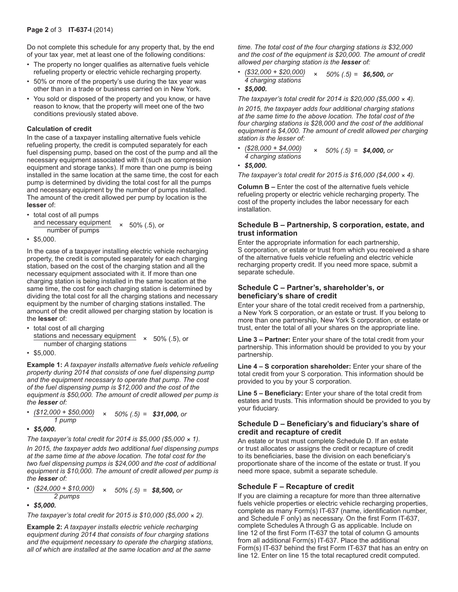Do not complete this schedule for any property that, by the end of your tax year, met at least one of the following conditions:

- The property no longer qualifies as alternative fuels vehicle refueling property or electric vehicle recharging property.
- 50% or more of the property's use during the tax year was other than in a trade or business carried on in New York.
- You sold or disposed of the property and you know, or have reason to know, that the property will meet one of the two conditions previously stated above.

#### **Calculation of credit**

In the case of a taxpayer installing alternative fuels vehicle refueling property, the credit is computed separately for each fuel dispensing pump, based on the cost of the pump and all the necessary equipment associated with it (such as compression equipment and storage tanks). If more than one pump is being installed in the same location at the same time, the cost for each pump is determined by dividing the total cost for all the pumps and necessary equipment by the number of pumps installed. The amount of the credit allowed per pump by location is the **lesser** of:

• total cost of all pumps

and necessary equipment  $\times$  50% (.5), or<br>number of pumps

• \$5,000.

In the case of a taxpayer installing electric vehicle recharging property, the credit is computed separately for each charging station, based on the cost of the charging station and all the necessary equipment associated with it. If more than one charging station is being installed in the same location at the same time, the cost for each charging station is determined by dividing the total cost for all the charging stations and necessary equipment by the number of charging stations installed. The amount of the credit allowed per charging station by location is the **lesser** of:

- total cost of all charging stations and necessary equipment *<sup>×</sup>* 50% (.5), or number of charging stations
- \$5,000.

**Example 1:** *A taxpayer installs alternative fuels vehicle refueling property during 2014 that consists of one fuel dispensing pump and the equipment necessary to operate that pump. The cost of the fuel dispensing pump is \$12,000 and the cost of the equipment is \$50,000. The amount of credit allowed per pump is the lesser of:*

*• (\$12,000 + \$50,000) × 50% (.5) = \$31,000, or 1 pump*

**•** *\$5,000.*

*The taxpayer's total credit for 2014 is \$5,000 (\$5,000 × 1).*

*In 2015, the taxpayer adds two additional fuel dispensing pumps at the same time at the above location. The total cost for the two fuel dispensing pumps is \$24,000 and the cost of additional equipment is \$10,000. The amount of credit allowed per pump is the lesser of:*

*• (\$24,000 + \$10,000) <sup>×</sup> 50% (.5) = \$8,500, or 2 pumps*

**•** *\$5,000.*

*The taxpayer's total credit for 2015 is \$10,000 (\$5,000 × 2).*

**Example 2:** *A taxpayer installs electric vehicle recharging equipment during 2014 that consists of four charging stations and the equipment necessary to operate the charging stations, all of which are installed at the same location and at the same* 

*time. The total cost of the four charging stations is \$32,000 and the cost of the equipment is \$20,000. The amount of credit allowed per charging station is the lesser of:*

*• (\$32,000 + \$20,000) × 50% (.5) = \$6,500, or 4 charging stations*

```
• $5,000.
```
*The taxpayer's total credit for 2014 is \$20,000 (\$5,000 × 4).*

*In 2015, the taxpayer adds four additional charging stations at the same time to the above location. The total cost of the four charging stations is \$28,000 and the cost of the additional equipment is \$4,000. The amount of credit allowed per charging station is the lesser of:*

*• (\$28,000 + \$4,000) × 50% (.5) = \$4,000, or 4 charging stations*

```
• $5,000.
```
*The taxpayer's total credit for 2015 is \$16,000 (\$4,000 × 4).*

**Column B –** Enter the cost of the alternative fuels vehicle refueling property or electric vehicle recharging property. The cost of the property includes the labor necessary for each installation.

#### **Schedule B – Partnership, S corporation, estate, and trust information**

Enter the appropriate information for each partnership, S corporation, or estate or trust from which you received a share of the alternative fuels vehicle refueling and electric vehicle recharging property credit. If you need more space, submit a separate schedule.

### **Schedule C – Partner's, shareholder's, or beneficiary's share of credit**

Enter your share of the total credit received from a partnership, a New York S corporation, or an estate or trust. If you belong to more than one partnership, New York S corporation, or estate or trust, enter the total of all your shares on the appropriate line.

**Line 3 – Partner:** Enter your share of the total credit from your partnership. This information should be provided to you by your partnership.

**Line 4 – S corporation shareholder:** Enter your share of the total credit from your S corporation. This information should be provided to you by your S corporation.

**Line 5 – Beneficiary:** Enter your share of the total credit from estates and trusts. This information should be provided to you by your fiduciary.

#### **Schedule D – Beneficiary's and fiduciary's share of credit and recapture of credit**

An estate or trust must complete Schedule D. If an estate or trust allocates or assigns the credit or recapture of credit to its beneficiaries, base the division on each beneficiary's proportionate share of the income of the estate or trust. If you need more space, submit a separate schedule.

# **Schedule F – Recapture of credit**

If you are claiming a recapture for more than three alternative fuels vehicle properties or electric vehicle recharging properties. complete as many Form(s) IT-637 (name, identification number, and Schedule F only) as necessary. On the first Form IT-637, complete Schedules A through G as applicable. Include on line 12 of the first Form IT-637 the total of column G amounts from all additional Form(s) IT-637. Place the additional Form(s) IT-637 behind the first Form IT-637 that has an entry on line 12. Enter on line 15 the total recaptured credit computed.